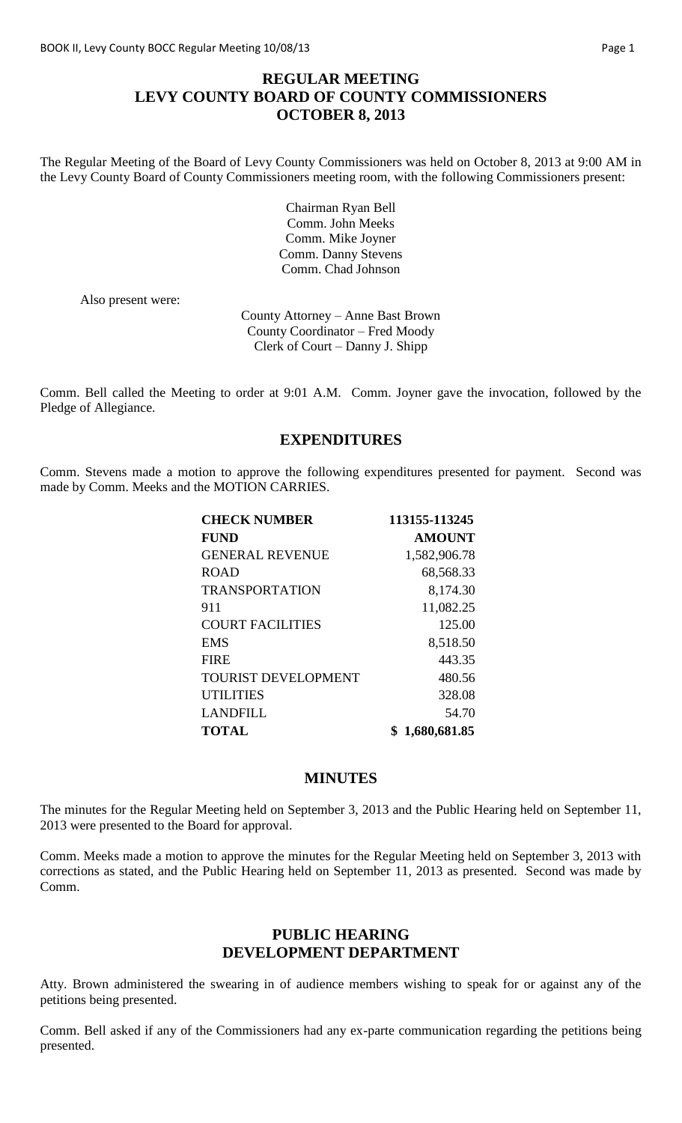## **REGULAR MEETING LEVY COUNTY BOARD OF COUNTY COMMISSIONERS OCTOBER 8, 2013**

The Regular Meeting of the Board of Levy County Commissioners was held on October 8, 2013 at 9:00 AM in the Levy County Board of County Commissioners meeting room, with the following Commissioners present:

> Chairman Ryan Bell Comm. John Meeks Comm. Mike Joyner Comm. Danny Stevens Comm. Chad Johnson

Also present were:

County Attorney – Anne Bast Brown County Coordinator – Fred Moody Clerk of Court – Danny J. Shipp

Comm. Bell called the Meeting to order at 9:01 A.M. Comm. Joyner gave the invocation, followed by the Pledge of Allegiance.

## **EXPENDITURES**

Comm. Stevens made a motion to approve the following expenditures presented for payment. Second was made by Comm. Meeks and the MOTION CARRIES.

| <b>CHECK NUMBER</b>        | 113155-113245  |
|----------------------------|----------------|
| <b>FUND</b>                | <b>AMOUNT</b>  |
| <b>GENERAL REVENUE</b>     | 1,582,906.78   |
| <b>ROAD</b>                | 68,568.33      |
| <b>TRANSPORTATION</b>      | 8,174.30       |
| 911                        | 11,082.25      |
| <b>COURT FACILITIES</b>    | 125.00         |
| <b>EMS</b>                 | 8,518.50       |
| <b>FIRE</b>                | 443.35         |
| <b>TOURIST DEVELOPMENT</b> | 480.56         |
| <b>UTILITIES</b>           | 328.08         |
| <b>LANDFILL</b>            | 54.70          |
| <b>TOTAL</b>               | \$1,680,681.85 |

### **MINUTES**

The minutes for the Regular Meeting held on September 3, 2013 and the Public Hearing held on September 11, 2013 were presented to the Board for approval.

Comm. Meeks made a motion to approve the minutes for the Regular Meeting held on September 3, 2013 with corrections as stated, and the Public Hearing held on September 11, 2013 as presented. Second was made by Comm.

### **PUBLIC HEARING DEVELOPMENT DEPARTMENT**

Atty. Brown administered the swearing in of audience members wishing to speak for or against any of the petitions being presented.

Comm. Bell asked if any of the Commissioners had any ex-parte communication regarding the petitions being presented.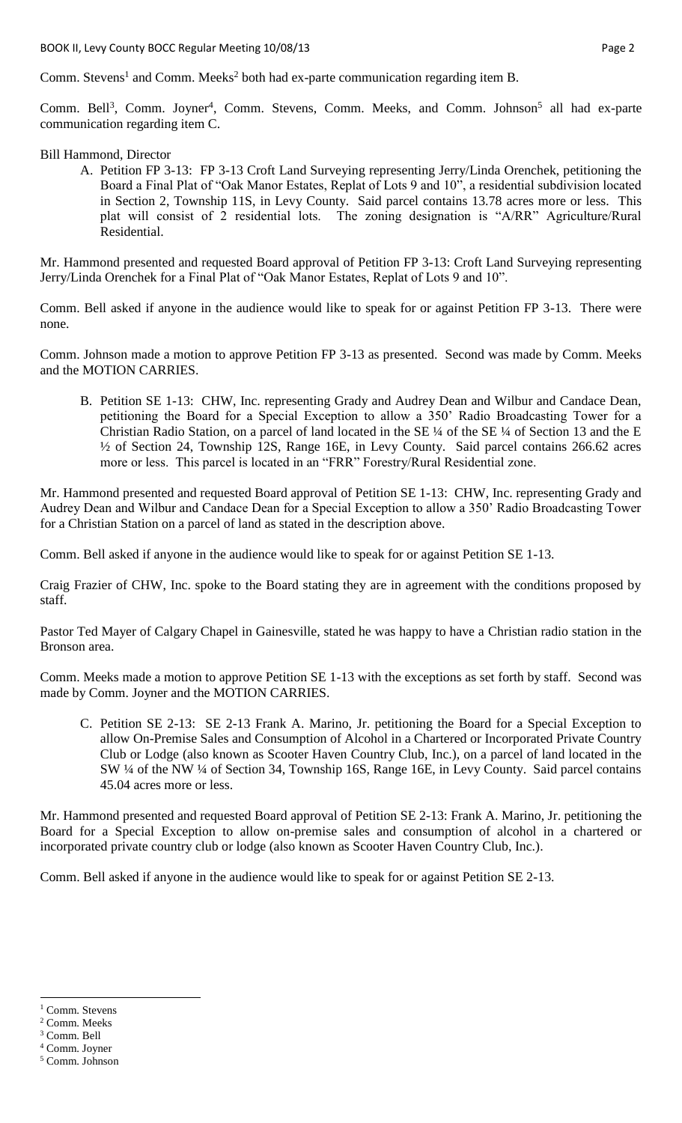Comm. Stevens<sup>1</sup> and Comm. Meeks<sup>2</sup> both had ex-parte communication regarding item B.

Comm. Bell<sup>3</sup>, Comm. Joyner<sup>4</sup>, Comm. Stevens, Comm. Meeks, and Comm. Johnson<sup>5</sup> all had ex-parte communication regarding item C.

#### Bill Hammond, Director

A. Petition FP 3-13: FP 3-13 Croft Land Surveying representing Jerry/Linda Orenchek, petitioning the Board a Final Plat of "Oak Manor Estates, Replat of Lots 9 and 10", a residential subdivision located in Section 2, Township 11S, in Levy County. Said parcel contains 13.78 acres more or less. This plat will consist of 2 residential lots. The zoning designation is "A/RR" Agriculture/Rural Residential.

Mr. Hammond presented and requested Board approval of Petition FP 3-13: Croft Land Surveying representing Jerry/Linda Orenchek for a Final Plat of "Oak Manor Estates, Replat of Lots 9 and 10".

Comm. Bell asked if anyone in the audience would like to speak for or against Petition FP 3-13. There were none.

Comm. Johnson made a motion to approve Petition FP 3-13 as presented. Second was made by Comm. Meeks and the MOTION CARRIES.

B. Petition SE 1-13: CHW, Inc. representing Grady and Audrey Dean and Wilbur and Candace Dean, petitioning the Board for a Special Exception to allow a 350' Radio Broadcasting Tower for a Christian Radio Station, on a parcel of land located in the SE ¼ of the SE ¼ of Section 13 and the E ½ of Section 24, Township 12S, Range 16E, in Levy County. Said parcel contains 266.62 acres more or less. This parcel is located in an "FRR" Forestry/Rural Residential zone.

Mr. Hammond presented and requested Board approval of Petition SE 1-13: CHW, Inc. representing Grady and Audrey Dean and Wilbur and Candace Dean for a Special Exception to allow a 350' Radio Broadcasting Tower for a Christian Station on a parcel of land as stated in the description above.

Comm. Bell asked if anyone in the audience would like to speak for or against Petition SE 1-13.

Craig Frazier of CHW, Inc. spoke to the Board stating they are in agreement with the conditions proposed by staff.

Pastor Ted Mayer of Calgary Chapel in Gainesville, stated he was happy to have a Christian radio station in the Bronson area.

Comm. Meeks made a motion to approve Petition SE 1-13 with the exceptions as set forth by staff. Second was made by Comm. Joyner and the MOTION CARRIES.

C. Petition SE 2-13: SE 2-13 Frank A. Marino, Jr. petitioning the Board for a Special Exception to allow On-Premise Sales and Consumption of Alcohol in a Chartered or Incorporated Private Country Club or Lodge (also known as Scooter Haven Country Club, Inc.), on a parcel of land located in the SW ¼ of the NW ¼ of Section 34, Township 16S, Range 16E, in Levy County. Said parcel contains 45.04 acres more or less.

Mr. Hammond presented and requested Board approval of Petition SE 2-13: Frank A. Marino, Jr. petitioning the Board for a Special Exception to allow on-premise sales and consumption of alcohol in a chartered or incorporated private country club or lodge (also known as Scooter Haven Country Club, Inc.).

Comm. Bell asked if anyone in the audience would like to speak for or against Petition SE 2-13.

 $\overline{a}$ <sup>1</sup> Comm. Stevens

<sup>2</sup> Comm. Meeks

<sup>3</sup> Comm. Bell

<sup>4</sup> Comm. Joyner

<sup>5</sup> Comm. Johnson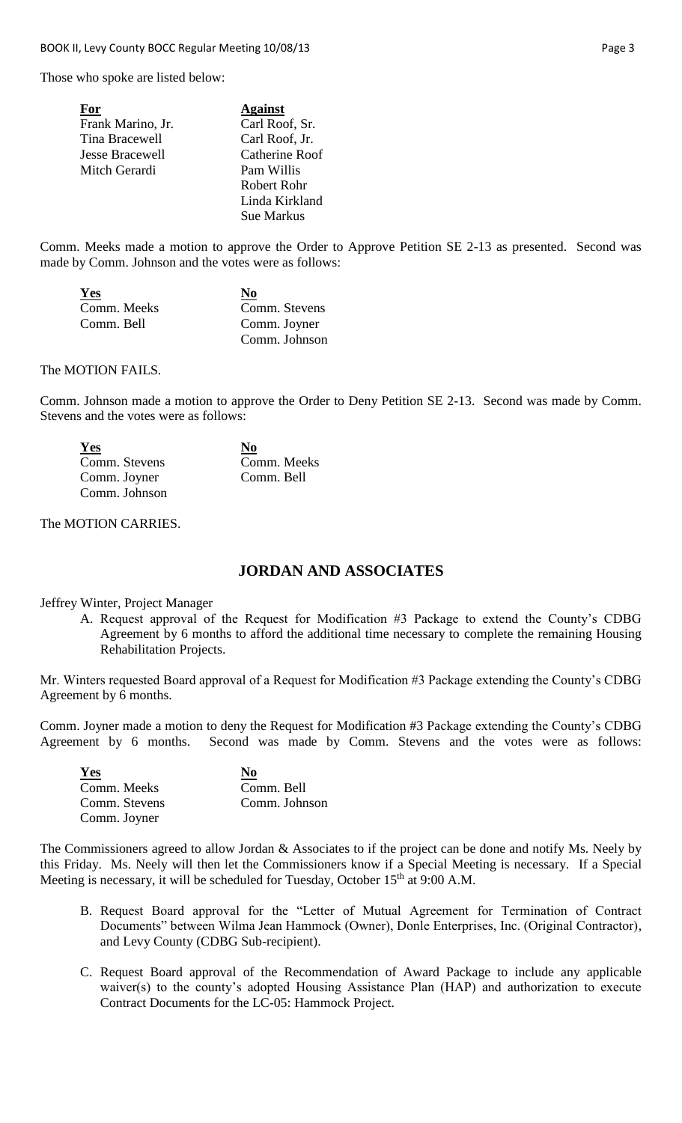Those who spoke are listed below:

| For                    | <b>Against</b> |
|------------------------|----------------|
| Frank Marino, Jr.      | Carl Roof, Sr. |
| Tina Bracewell         | Carl Roof, Jr. |
| <b>Jesse Bracewell</b> | Catherine Roof |
| Mitch Gerardi          | Pam Willis     |
|                        | Robert Rohr    |
|                        | Linda Kirkland |
|                        | Sue Markus     |

Comm. Meeks made a motion to approve the Order to Approve Petition SE 2-13 as presented. Second was made by Comm. Johnson and the votes were as follows:

| <u>Yes</u>  | No            |
|-------------|---------------|
| Comm. Meeks | Comm. Stevens |
| Comm. Bell  | Comm. Joyner  |
|             | Comm. Johnson |

#### The MOTION FAILS.

Comm. Johnson made a motion to approve the Order to Deny Petition SE 2-13. Second was made by Comm. Stevens and the votes were as follows:

| Yes           | N <sub>0</sub> |
|---------------|----------------|
| Comm. Stevens | Comm. Meeks    |
| Comm. Joyner  | Comm. Bell     |
| Comm. Johnson |                |

#### The MOTION CARRIES.

## **JORDAN AND ASSOCIATES**

Jeffrey Winter, Project Manager

A. Request approval of the Request for Modification #3 Package to extend the County's CDBG Agreement by 6 months to afford the additional time necessary to complete the remaining Housing Rehabilitation Projects.

Mr. Winters requested Board approval of a Request for Modification #3 Package extending the County's CDBG Agreement by 6 months.

Comm. Joyner made a motion to deny the Request for Modification #3 Package extending the County's CDBG Agreement by 6 months. Second was made by Comm. Stevens and the votes were as follows:

| Yes           | N <sub>0</sub> |
|---------------|----------------|
| Comm. Meeks   | Comm. Bell     |
| Comm. Stevens | Comm. Johnson  |
| Comm. Joyner  |                |

The Commissioners agreed to allow Jordan & Associates to if the project can be done and notify Ms. Neely by this Friday. Ms. Neely will then let the Commissioners know if a Special Meeting is necessary. If a Special Meeting is necessary, it will be scheduled for Tuesday, October 15<sup>th</sup> at 9:00 A.M.

- B. Request Board approval for the "Letter of Mutual Agreement for Termination of Contract Documents" between Wilma Jean Hammock (Owner), Donle Enterprises, Inc. (Original Contractor), and Levy County (CDBG Sub-recipient).
- C. Request Board approval of the Recommendation of Award Package to include any applicable waiver(s) to the county's adopted Housing Assistance Plan (HAP) and authorization to execute Contract Documents for the LC-05: Hammock Project.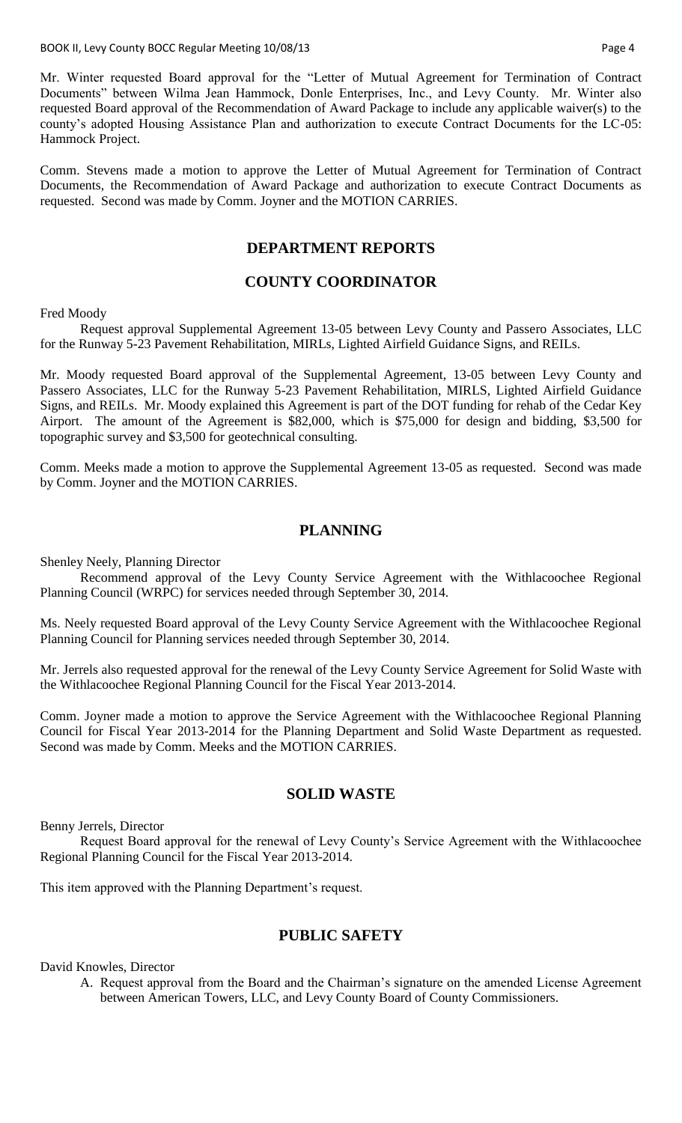Mr. Winter requested Board approval for the "Letter of Mutual Agreement for Termination of Contract Documents" between Wilma Jean Hammock, Donle Enterprises, Inc., and Levy County. Mr. Winter also requested Board approval of the Recommendation of Award Package to include any applicable waiver(s) to the county's adopted Housing Assistance Plan and authorization to execute Contract Documents for the LC-05: Hammock Project.

Comm. Stevens made a motion to approve the Letter of Mutual Agreement for Termination of Contract Documents, the Recommendation of Award Package and authorization to execute Contract Documents as requested. Second was made by Comm. Joyner and the MOTION CARRIES.

# **DEPARTMENT REPORTS**

## **COUNTY COORDINATOR**

Fred Moody

Request approval Supplemental Agreement 13-05 between Levy County and Passero Associates, LLC for the Runway 5-23 Pavement Rehabilitation, MIRLs, Lighted Airfield Guidance Signs, and REILs.

Mr. Moody requested Board approval of the Supplemental Agreement, 13-05 between Levy County and Passero Associates, LLC for the Runway 5-23 Pavement Rehabilitation, MIRLS, Lighted Airfield Guidance Signs, and REILs. Mr. Moody explained this Agreement is part of the DOT funding for rehab of the Cedar Key Airport. The amount of the Agreement is \$82,000, which is \$75,000 for design and bidding, \$3,500 for topographic survey and \$3,500 for geotechnical consulting.

Comm. Meeks made a motion to approve the Supplemental Agreement 13-05 as requested. Second was made by Comm. Joyner and the MOTION CARRIES.

## **PLANNING**

Shenley Neely, Planning Director

Recommend approval of the Levy County Service Agreement with the Withlacoochee Regional Planning Council (WRPC) for services needed through September 30, 2014.

Ms. Neely requested Board approval of the Levy County Service Agreement with the Withlacoochee Regional Planning Council for Planning services needed through September 30, 2014.

Mr. Jerrels also requested approval for the renewal of the Levy County Service Agreement for Solid Waste with the Withlacoochee Regional Planning Council for the Fiscal Year 2013-2014.

Comm. Joyner made a motion to approve the Service Agreement with the Withlacoochee Regional Planning Council for Fiscal Year 2013-2014 for the Planning Department and Solid Waste Department as requested. Second was made by Comm. Meeks and the MOTION CARRIES.

# **SOLID WASTE**

Benny Jerrels, Director

Request Board approval for the renewal of Levy County's Service Agreement with the Withlacoochee Regional Planning Council for the Fiscal Year 2013-2014.

This item approved with the Planning Department's request.

# **PUBLIC SAFETY**

David Knowles, Director

A. Request approval from the Board and the Chairman's signature on the amended License Agreement between American Towers, LLC, and Levy County Board of County Commissioners.